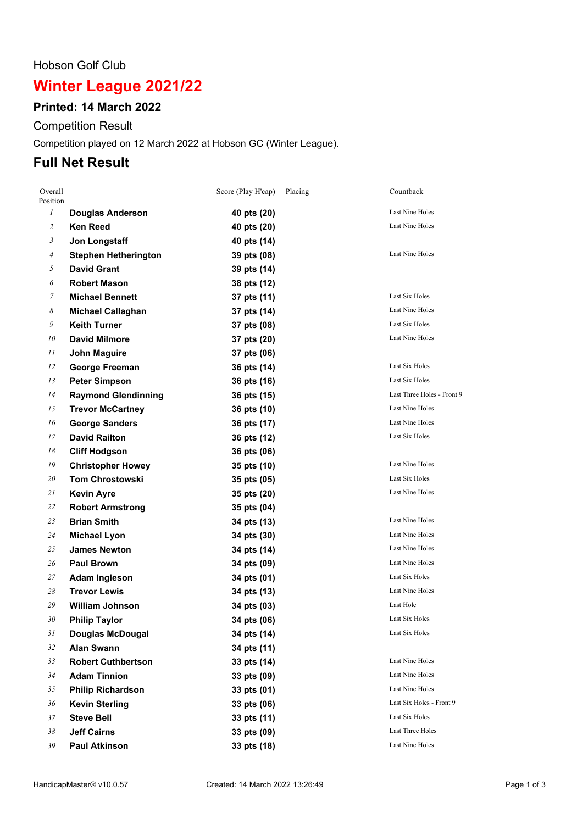#### Hobson Golf Club

# **Winter League 2021/22**

### **Printed: 14 March 2022**

Competition Result

Competition played on 12 March 2022 at Hobson GC (Winter League).

### **Full Net Result**

| Overall<br>Position        |                             | Score (Play H'cap) | Placing | Countback                  |
|----------------------------|-----------------------------|--------------------|---------|----------------------------|
| $\mathcal{I}$              | <b>Douglas Anderson</b>     | 40 pts (20)        |         | Last Nine Holes            |
| $\overline{c}$             | <b>Ken Reed</b>             | 40 pts (20)        |         | <b>Last Nine Holes</b>     |
| $\mathfrak{Z}$             | Jon Longstaff               | 40 pts (14)        |         |                            |
| $\overline{A}$             | <b>Stephen Hetherington</b> | 39 pts (08)        |         | <b>Last Nine Holes</b>     |
| 5                          | <b>David Grant</b>          | 39 pts (14)        |         |                            |
| 6                          | <b>Robert Mason</b>         | 38 pts (12)        |         |                            |
| 7                          | <b>Michael Bennett</b>      | 37 pts (11)        |         | <b>Last Six Holes</b>      |
| $\boldsymbol{\mathcal{S}}$ | <b>Michael Callaghan</b>    | 37 pts (14)        |         | Last Nine Holes            |
| 9                          | <b>Keith Turner</b>         | 37 pts (08)        |         | Last Six Holes             |
| 10                         | <b>David Milmore</b>        | 37 pts (20)        |         | Last Nine Holes            |
| 11                         | <b>John Maguire</b>         | 37 pts (06)        |         |                            |
| 12                         | <b>George Freeman</b>       | 36 pts (14)        |         | Last Six Holes             |
| 13                         | <b>Peter Simpson</b>        | 36 pts (16)        |         | Last Six Holes             |
| 14                         | <b>Raymond Glendinning</b>  | 36 pts (15)        |         | Last Three Holes - Front 9 |
| 15                         | <b>Trevor McCartney</b>     | 36 pts (10)        |         | <b>Last Nine Holes</b>     |
| 16                         | <b>George Sanders</b>       | 36 pts (17)        |         | Last Nine Holes            |
| 17                         | <b>David Railton</b>        | 36 pts (12)        |         | Last Six Holes             |
| 18                         | <b>Cliff Hodgson</b>        | 36 pts (06)        |         |                            |
| 19                         | <b>Christopher Howey</b>    | 35 pts (10)        |         | Last Nine Holes            |
| 20                         | <b>Tom Chrostowski</b>      | 35 pts (05)        |         | Last Six Holes             |
| 21                         | <b>Kevin Ayre</b>           | 35 pts (20)        |         | Last Nine Holes            |
| 22                         | <b>Robert Armstrong</b>     | 35 pts (04)        |         |                            |
| 23                         | <b>Brian Smith</b>          | 34 pts (13)        |         | <b>Last Nine Holes</b>     |
| 24                         | <b>Michael Lyon</b>         | 34 pts (30)        |         | Last Nine Holes            |
| 25                         | <b>James Newton</b>         | 34 pts (14)        |         | <b>Last Nine Holes</b>     |
| 26                         | <b>Paul Brown</b>           | 34 pts (09)        |         | Last Nine Holes            |
| 27                         | <b>Adam Ingleson</b>        | 34 pts (01)        |         | Last Six Holes             |
| 28                         | <b>Trevor Lewis</b>         | 34 pts (13)        |         | Last Nine Holes            |
| 29                         | <b>William Johnson</b>      | 34 pts (03)        |         | Last Hole                  |
| 30                         | <b>Philip Taylor</b>        | 34 pts (06)        |         | Last Six Holes             |
| 31                         | <b>Douglas McDougal</b>     | 34 pts (14)        |         | Last Six Holes             |
| 32                         | <b>Alan Swann</b>           | 34 pts (11)        |         |                            |
| 33                         | <b>Robert Cuthbertson</b>   | 33 pts (14)        |         | Last Nine Holes            |
| 34                         | <b>Adam Tinnion</b>         | 33 pts (09)        |         | Last Nine Holes            |
| 35                         | <b>Philip Richardson</b>    | 33 pts (01)        |         | Last Nine Holes            |
| 36                         | <b>Kevin Sterling</b>       | 33 pts (06)        |         | Last Six Holes - Front 9   |
| 37                         | <b>Steve Bell</b>           | 33 pts (11)        |         | Last Six Holes             |
| 38                         | <b>Jeff Cairns</b>          | 33 pts (09)        |         | Last Three Holes           |
| 39                         | <b>Paul Atkinson</b>        | 33 pts (18)        |         | Last Nine Holes            |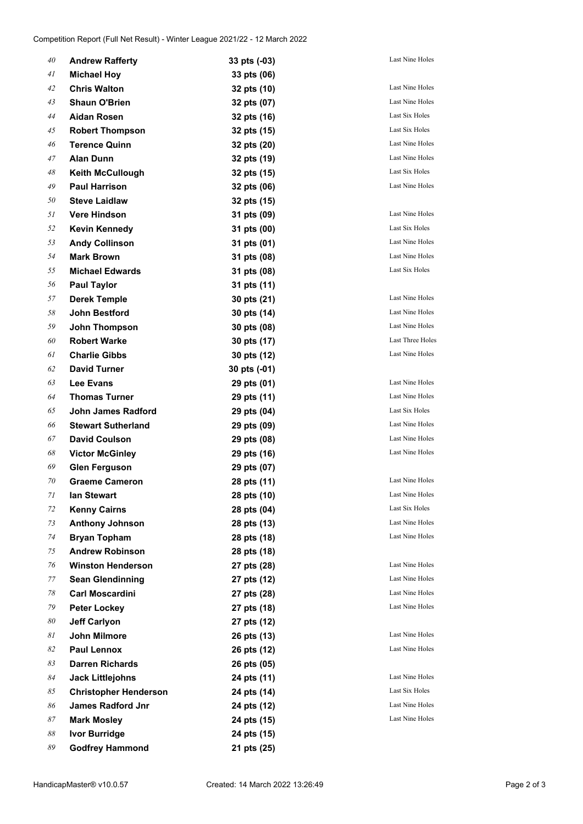| 40 | <b>Andrew Rafferty</b>       | 33 pts (-03) | <b>Last Nine Holes</b> |
|----|------------------------------|--------------|------------------------|
| 41 | <b>Michael Hoy</b>           | 33 pts (06)  |                        |
| 42 | <b>Chris Walton</b>          | 32 pts (10)  | Last Nine Holes        |
| 43 | <b>Shaun O'Brien</b>         | 32 pts (07)  | Last Nine Holes        |
| 44 | Aidan Rosen                  | 32 pts (16)  | Last Six Holes         |
| 45 | <b>Robert Thompson</b>       | 32 pts (15)  | Last Six Holes         |
| 46 | <b>Terence Quinn</b>         | 32 pts (20)  | Last Nine Holes        |
| 47 | <b>Alan Dunn</b>             | 32 pts (19)  | <b>Last Nine Holes</b> |
| 48 | <b>Keith McCullough</b>      | 32 pts (15)  | Last Six Holes         |
| 49 | <b>Paul Harrison</b>         | 32 pts (06)  | Last Nine Holes        |
| 50 | <b>Steve Laidlaw</b>         | 32 pts (15)  |                        |
| 51 | <b>Vere Hindson</b>          | 31 pts (09)  | Last Nine Holes        |
| 52 | <b>Kevin Kennedy</b>         | 31 pts (00)  | Last Six Holes         |
| 53 | <b>Andy Collinson</b>        | 31 pts (01)  | Last Nine Holes        |
| 54 | <b>Mark Brown</b>            | 31 pts (08)  | Last Nine Holes        |
| 55 | <b>Michael Edwards</b>       | 31 pts (08)  | Last Six Holes         |
| 56 | <b>Paul Taylor</b>           | 31 pts (11)  |                        |
| 57 | <b>Derek Temple</b>          | 30 pts (21)  | <b>Last Nine Holes</b> |
| 58 | <b>John Bestford</b>         | 30 pts (14)  | Last Nine Holes        |
| 59 | <b>John Thompson</b>         | 30 pts (08)  | Last Nine Holes        |
| 60 | <b>Robert Warke</b>          | 30 pts (17)  | Last Three Holes       |
| 61 | <b>Charlie Gibbs</b>         | 30 pts (12)  | Last Nine Holes        |
| 62 | <b>David Turner</b>          | 30 pts (-01) |                        |
| 63 | <b>Lee Evans</b>             | 29 pts (01)  | Last Nine Holes        |
| 64 | <b>Thomas Turner</b>         | 29 pts (11)  | Last Nine Holes        |
| 65 | John James Radford           | 29 pts (04)  | Last Six Holes         |
| 66 | <b>Stewart Sutherland</b>    | 29 pts (09)  | Last Nine Holes        |
| 67 | <b>David Coulson</b>         | 29 pts (08)  | <b>Last Nine Holes</b> |
| 68 | <b>Victor McGinley</b>       | 29 pts (16)  | Last Nine Holes        |
| 69 | <b>Glen Ferguson</b>         | 29 pts (07)  |                        |
| 70 | <b>Graeme Cameron</b>        | 28 pts (11)  | Last Nine Holes        |
| 71 | lan Stewart                  | 28 pts (10)  | Last Nine Holes        |
| 72 | <b>Kenny Cairns</b>          | 28 pts (04)  | Last Six Holes         |
| 73 | <b>Anthony Johnson</b>       | 28 pts (13)  | Last Nine Holes        |
| 74 | <b>Bryan Topham</b>          | 28 pts (18)  | <b>Last Nine Holes</b> |
| 75 | <b>Andrew Robinson</b>       | 28 pts (18)  |                        |
| 76 | <b>Winston Henderson</b>     | 27 pts (28)  | Last Nine Holes        |
| 77 | <b>Sean Glendinning</b>      | 27 pts (12)  | Last Nine Holes        |
| 78 | <b>Carl Moscardini</b>       | 27 pts (28)  | Last Nine Holes        |
| 79 | <b>Peter Lockey</b>          | 27 pts (18)  | Last Nine Holes        |
| 80 | <b>Jeff Carlyon</b>          | 27 pts (12)  |                        |
| 81 | John Milmore                 | 26 pts (13)  | Last Nine Holes        |
| 82 | <b>Paul Lennox</b>           | 26 pts (12)  | Last Nine Holes        |
| 83 | <b>Darren Richards</b>       | 26 pts (05)  |                        |
| 84 | <b>Jack Littlejohns</b>      | 24 pts (11)  | Last Nine Holes        |
| 85 | <b>Christopher Henderson</b> | 24 pts (14)  | Last Six Holes         |
| 86 | <b>James Radford Jnr</b>     | 24 pts (12)  | Last Nine Holes        |
| 87 | <b>Mark Mosley</b>           | 24 pts (15)  | Last Nine Holes        |
| 88 | Ivor Burridge                | 24 pts (15)  |                        |
| 89 | <b>Godfrey Hammond</b>       | 21 pts (25)  |                        |